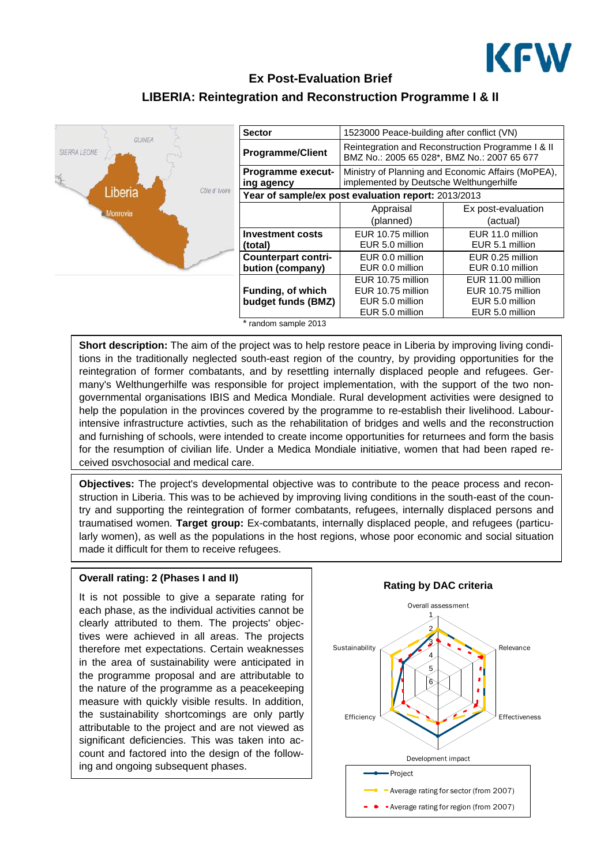

## **Ex Post-Evaluation Brief LIBERIA: Reintegration and Reconstruction Programme I & II**



| <b>Sector</b>                                       | 1523000 Peace-building after conflict (VN)                                                    |                                                   |
|-----------------------------------------------------|-----------------------------------------------------------------------------------------------|---------------------------------------------------|
| <b>Programme/Client</b>                             | BMZ No.: 2005 65 028*, BMZ No.: 2007 65 677                                                   | Reintegration and Reconstruction Programme I & II |
| <b>Programme execut-</b><br>ing agency              | Ministry of Planning and Economic Affairs (MoPEA),<br>implemented by Deutsche Welthungerhilfe |                                                   |
| Year of sample/ex post evaluation report: 2013/2013 |                                                                                               |                                                   |
|                                                     | Appraisal                                                                                     | Ex post-evaluation                                |
|                                                     | (planned)                                                                                     | (actual)                                          |
| <b>Investment costs</b><br>(total)                  | EUR 10.75 million<br>EUR 5.0 million                                                          | EUR 11.0 million<br>EUR 5.1 million               |
| <b>Counterpart contri-</b>                          | EUR 0.0 million                                                                               | EUR 0.25 million                                  |
| bution (company)                                    | EUR 0.0 million                                                                               | EUR 0.10 million                                  |
|                                                     | EUR 10.75 million                                                                             | EUR 11.00 million                                 |
| <b>Funding, of which</b>                            | EUR 10.75 million                                                                             | EUR 10.75 million                                 |
| budget funds (BMZ)                                  | EUR 5.0 million                                                                               | EUR 5.0 million                                   |
|                                                     | EUR 5.0 million                                                                               | EUR 5.0 million                                   |

\* random sample 2013

**Short description:** The aim of the project was to help restore peace in Liberia by improving living conditions in the traditionally neglected south-east region of the country, by providing opportunities for the reintegration of former combatants, and by resettling internally displaced people and refugees. Germany's Welthungerhilfe was responsible for project implementation, with the support of the two nongovernmental organisations IBIS and Medica Mondiale. Rural development activities were designed to help the population in the provinces covered by the programme to re-establish their livelihood. Labourintensive infrastructure activties, such as the rehabilitation of bridges and wells and the reconstruction and furnishing of schools, were intended to create income opportunities for returnees and form the basis for the resumption of civilian life. Under a Medica Mondiale initiative, women that had been raped received psychosocial and medical care.

**Objectives:** The project's developmental objective was to contribute to the peace process and reconstruction in Liberia. This was to be achieved by improving living conditions in the south-east of the country and supporting the reintegration of former combatants, refugees, internally displaced persons and traumatised women. **Target group:** Ex-combatants, internally displaced people, and refugees (particularly women), as well as the populations in the host regions, whose poor economic and social situation made it difficult for them to receive refugees.

# **Overall rating: 2 (Phases I and II)**

It is not possible to give a separate rating for each phase, as the individual activities cannot be clearly attributed to them. The projects' objectives were achieved in all areas. The projects therefore met expectations. Certain weaknesses in the area of sustainability were anticipated in the programme proposal and are attributable to the nature of the programme as a peacekeeping measure with quickly visible results. In addition, the sustainability shortcomings are only partly attributable to the project and are not viewed as significant deficiencies. This was taken into account and factored into the design of the following and ongoing subsequent phases.

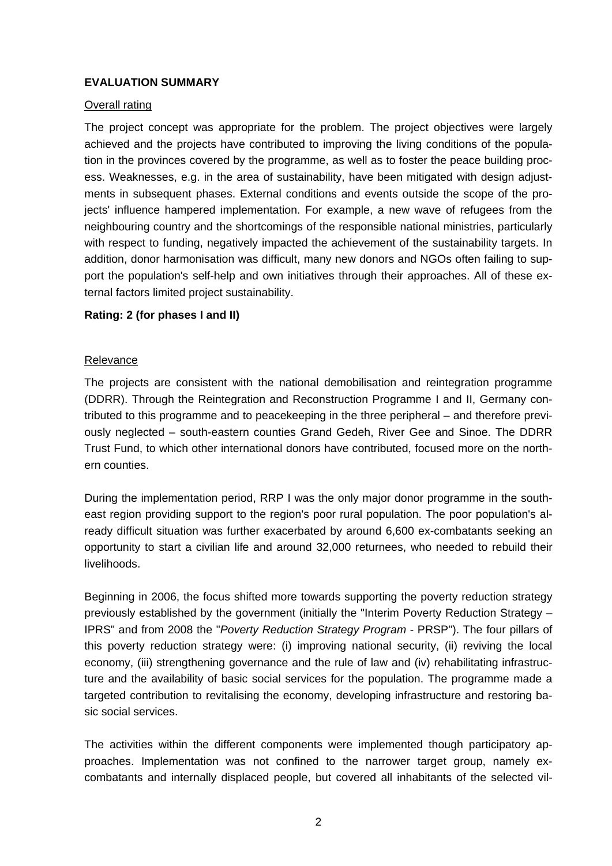### **EVALUATION SUMMARY**

#### Overall rating

The project concept was appropriate for the problem. The project objectives were largely achieved and the projects have contributed to improving the living conditions of the population in the provinces covered by the programme, as well as to foster the peace building process. Weaknesses, e.g. in the area of sustainability, have been mitigated with design adjustments in subsequent phases. External conditions and events outside the scope of the projects' influence hampered implementation. For example, a new wave of refugees from the neighbouring country and the shortcomings of the responsible national ministries, particularly with respect to funding, negatively impacted the achievement of the sustainability targets. In addition, donor harmonisation was difficult, many new donors and NGOs often failing to support the population's self-help and own initiatives through their approaches. All of these external factors limited project sustainability.

#### **Rating: 2 (for phases I and II)**

#### Relevance

The projects are consistent with the national demobilisation and reintegration programme (DDRR). Through the Reintegration and Reconstruction Programme I and II, Germany contributed to this programme and to peacekeeping in the three peripheral – and therefore previously neglected – south-eastern counties Grand Gedeh, River Gee and Sinoe. The DDRR Trust Fund, to which other international donors have contributed, focused more on the northern counties.

During the implementation period, RRP I was the only major donor programme in the southeast region providing support to the region's poor rural population. The poor population's already difficult situation was further exacerbated by around 6,600 ex-combatants seeking an opportunity to start a civilian life and around 32,000 returnees, who needed to rebuild their livelihoods.

Beginning in 2006, the focus shifted more towards supporting the poverty reduction strategy previously established by the government (initially the "Interim Poverty Reduction Strategy – IPRS" and from 2008 the "*Poverty Reduction Strategy Program* - PRSP"). The four pillars of this poverty reduction strategy were: (i) improving national security, (ii) reviving the local economy, (iii) strengthening governance and the rule of law and (iv) rehabilitating infrastructure and the availability of basic social services for the population. The programme made a targeted contribution to revitalising the economy, developing infrastructure and restoring basic social services.

The activities within the different components were implemented though participatory approaches. Implementation was not confined to the narrower target group, namely excombatants and internally displaced people, but covered all inhabitants of the selected vil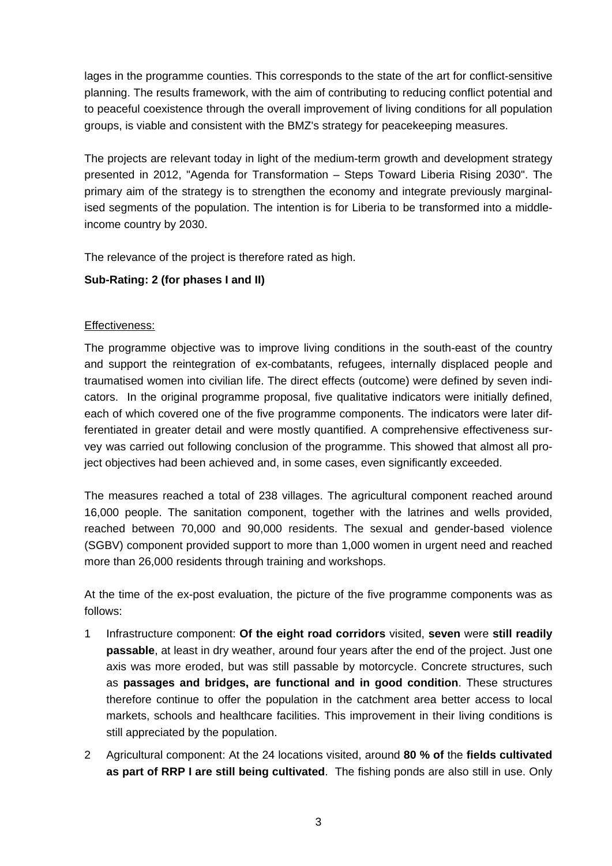lages in the programme counties. This corresponds to the state of the art for conflict-sensitive planning. The results framework, with the aim of contributing to reducing conflict potential and to peaceful coexistence through the overall improvement of living conditions for all population groups, is viable and consistent with the BMZ's strategy for peacekeeping measures.

The projects are relevant today in light of the medium-term growth and development strategy presented in 2012, "Agenda for Transformation – Steps Toward Liberia Rising 2030". The primary aim of the strategy is to strengthen the economy and integrate previously marginalised segments of the population. The intention is for Liberia to be transformed into a middleincome country by 2030.

The relevance of the project is therefore rated as high.

## **Sub-Rating: 2 (for phases I and II)**

### Effectiveness:

The programme objective was to improve living conditions in the south-east of the country and support the reintegration of ex-combatants, refugees, internally displaced people and traumatised women into civilian life. The direct effects (outcome) were defined by seven indicators. In the original programme proposal, five qualitative indicators were initially defined, each of which covered one of the five programme components. The indicators were later differentiated in greater detail and were mostly quantified. A comprehensive effectiveness survey was carried out following conclusion of the programme. This showed that almost all project objectives had been achieved and, in some cases, even significantly exceeded.

The measures reached a total of 238 villages. The agricultural component reached around 16,000 people. The sanitation component, together with the latrines and wells provided, reached between 70,000 and 90,000 residents. The sexual and gender-based violence (SGBV) component provided support to more than 1,000 women in urgent need and reached more than 26,000 residents through training and workshops.

At the time of the ex-post evaluation, the picture of the five programme components was as follows:

- 1 Infrastructure component: **Of the eight road corridors** visited, **seven** were **still readily passable**, at least in dry weather, around four years after the end of the project. Just one axis was more eroded, but was still passable by motorcycle. Concrete structures, such as **passages and bridges, are functional and in good condition**. These structures therefore continue to offer the population in the catchment area better access to local markets, schools and healthcare facilities. This improvement in their living conditions is still appreciated by the population.
- 2 Agricultural component: At the 24 locations visited, around **80 % of** the **fields cultivated as part of RRP I are still being cultivated**. The fishing ponds are also still in use. Only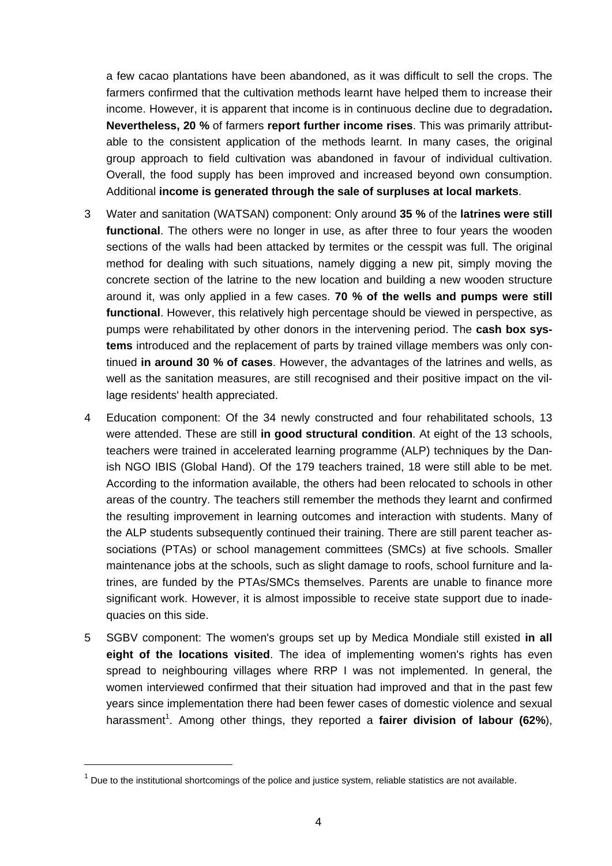a few cacao plantations have been abandoned, as it was difficult to sell the crops. The farmers confirmed that the cultivation methods learnt have helped them to increase their income. However, it is apparent that income is in continuous decline due to degradation**. Nevertheless, 20 %** of farmers **report further income rises**. This was primarily attributable to the consistent application of the methods learnt. In many cases, the original group approach to field cultivation was abandoned in favour of individual cultivation. Overall, the food supply has been improved and increased beyond own consumption. Additional **income is generated through the sale of surpluses at local markets**.

- 3 Water and sanitation (WATSAN) component: Only around **35 %** of the **latrines were still functional**. The others were no longer in use, as after three to four years the wooden sections of the walls had been attacked by termites or the cesspit was full. The original method for dealing with such situations, namely digging a new pit, simply moving the concrete section of the latrine to the new location and building a new wooden structure around it, was only applied in a few cases. **70 % of the wells and pumps were still functional**. However, this relatively high percentage should be viewed in perspective, as pumps were rehabilitated by other donors in the intervening period. The **cash box systems** introduced and the replacement of parts by trained village members was only continued **in around 30 % of cases**. However, the advantages of the latrines and wells, as well as the sanitation measures, are still recognised and their positive impact on the village residents' health appreciated.
- 4 Education component: Of the 34 newly constructed and four rehabilitated schools, 13 were attended. These are still **in good structural condition**. At eight of the 13 schools, teachers were trained in accelerated learning programme (ALP) techniques by the Danish NGO IBIS (Global Hand). Of the 179 teachers trained, 18 were still able to be met. According to the information available, the others had been relocated to schools in other areas of the country. The teachers still remember the methods they learnt and confirmed the resulting improvement in learning outcomes and interaction with students. Many of the ALP students subsequently continued their training. There are still parent teacher associations (PTAs) or school management committees (SMCs) at five schools. Smaller maintenance jobs at the schools, such as slight damage to roofs, school furniture and latrines, are funded by the PTAs/SMCs themselves. Parents are unable to finance more significant work. However, it is almost impossible to receive state support due to inadequacies on this side.
- 5 SGBV component: The women's groups set up by Medica Mondiale still existed **in all eight of the locations visited**. The idea of implementing women's rights has even spread to neighbouring villages where RRP I was not implemented. In general, the women interviewed confirmed that their situation had improved and that in the past few years since implementation there had been fewer cases of domestic violence and sexual harassment<sup>1</sup>. Among other things, they reported a fairer division of labour (62%),

 $1$  Due to the institutional shortcomings of the police and justice system, reliable statistics are not available.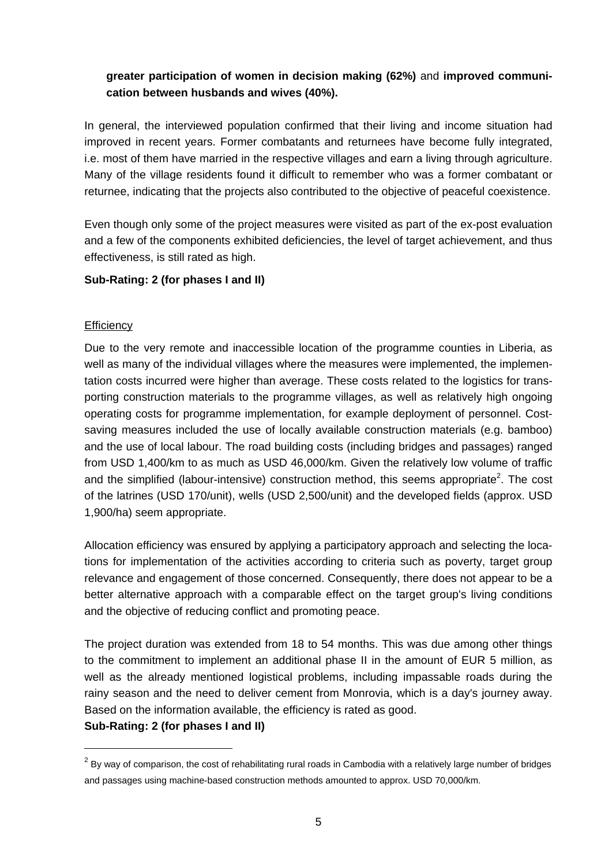## **greater participation of women in decision making (62%)** and **improved communication between husbands and wives (40%).**

In general, the interviewed population confirmed that their living and income situation had improved in recent years. Former combatants and returnees have become fully integrated, i.e. most of them have married in the respective villages and earn a living through agriculture. Many of the village residents found it difficult to remember who was a former combatant or returnee, indicating that the projects also contributed to the objective of peaceful coexistence.

Even though only some of the project measures were visited as part of the ex-post evaluation and a few of the components exhibited deficiencies, the level of target achievement, and thus effectiveness, is still rated as high.

### **Sub-Rating: 2 (for phases I and II)**

#### **Efficiency**

Due to the very remote and inaccessible location of the programme counties in Liberia, as well as many of the individual villages where the measures were implemented, the implementation costs incurred were higher than average. These costs related to the logistics for transporting construction materials to the programme villages, as well as relatively high ongoing operating costs for programme implementation, for example deployment of personnel. Costsaving measures included the use of locally available construction materials (e.g. bamboo) and the use of local labour. The road building costs (including bridges and passages) ranged from USD 1,400/km to as much as USD 46,000/km. Given the relatively low volume of traffic and the simplified (labour-intensive) construction method, this seems appropriate<sup>2</sup>. The cost of the latrines (USD 170/unit), wells (USD 2,500/unit) and the developed fields (approx. USD 1,900/ha) seem appropriate.

Allocation efficiency was ensured by applying a participatory approach and selecting the locations for implementation of the activities according to criteria such as poverty, target group relevance and engagement of those concerned. Consequently, there does not appear to be a better alternative approach with a comparable effect on the target group's living conditions and the objective of reducing conflict and promoting peace.

The project duration was extended from 18 to 54 months. This was due among other things to the commitment to implement an additional phase II in the amount of EUR 5 million, as well as the already mentioned logistical problems, including impassable roads during the rainy season and the need to deliver cement from Monrovia, which is a day's journey away. Based on the information available, the efficiency is rated as good.

**Sub-Rating: 2 (for phases I and II)** 

 $\overline{a}$ 

 $^2$  By way of comparison, the cost of rehabilitating rural roads in Cambodia with a relatively large number of bridges and passages using machine-based construction methods amounted to approx. USD 70,000/km.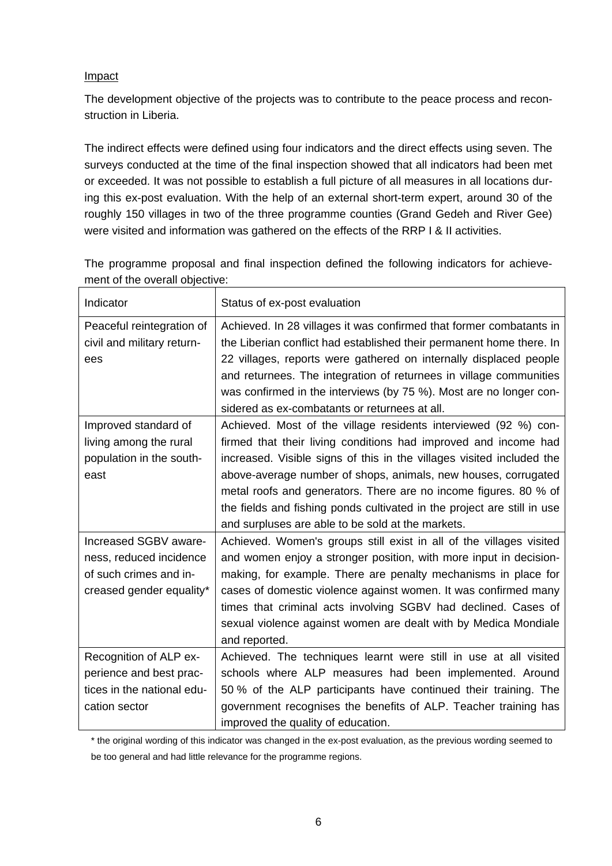#### Impact

The development objective of the projects was to contribute to the peace process and reconstruction in Liberia.

The indirect effects were defined using four indicators and the direct effects using seven. The surveys conducted at the time of the final inspection showed that all indicators had been met or exceeded. It was not possible to establish a full picture of all measures in all locations during this ex-post evaluation. With the help of an external short-term expert, around 30 of the roughly 150 villages in two of the three programme counties (Grand Gedeh and River Gee) were visited and information was gathered on the effects of the RRP I & II activities.

| Indicator                                                                                              | Status of ex-post evaluation                                                                                                                                                                                                                                                                                                                                                                                                                                                      |
|--------------------------------------------------------------------------------------------------------|-----------------------------------------------------------------------------------------------------------------------------------------------------------------------------------------------------------------------------------------------------------------------------------------------------------------------------------------------------------------------------------------------------------------------------------------------------------------------------------|
| Peaceful reintegration of<br>civil and military return-<br>ees                                         | Achieved. In 28 villages it was confirmed that former combatants in<br>the Liberian conflict had established their permanent home there. In<br>22 villages, reports were gathered on internally displaced people<br>and returnees. The integration of returnees in village communities<br>was confirmed in the interviews (by 75 %). Most are no longer con-<br>sidered as ex-combatants or returnees at all.                                                                     |
| Improved standard of<br>living among the rural<br>population in the south-<br>east                     | Achieved. Most of the village residents interviewed (92 %) con-<br>firmed that their living conditions had improved and income had<br>increased. Visible signs of this in the villages visited included the<br>above-average number of shops, animals, new houses, corrugated<br>metal roofs and generators. There are no income figures. 80 % of<br>the fields and fishing ponds cultivated in the project are still in use<br>and surpluses are able to be sold at the markets. |
| Increased SGBV aware-<br>ness, reduced incidence<br>of such crimes and in-<br>creased gender equality* | Achieved. Women's groups still exist in all of the villages visited<br>and women enjoy a stronger position, with more input in decision-<br>making, for example. There are penalty mechanisms in place for<br>cases of domestic violence against women. It was confirmed many<br>times that criminal acts involving SGBV had declined. Cases of<br>sexual violence against women are dealt with by Medica Mondiale<br>and reported.                                               |
| Recognition of ALP ex-<br>perience and best prac-<br>tices in the national edu-<br>cation sector       | Achieved. The techniques learnt were still in use at all visited<br>schools where ALP measures had been implemented. Around<br>50 % of the ALP participants have continued their training. The<br>government recognises the benefits of ALP. Teacher training has<br>improved the quality of education.                                                                                                                                                                           |

The programme proposal and final inspection defined the following indicators for achievement of the overall objective:

\* the original wording of this indicator was changed in the ex-post evaluation, as the previous wording seemed to be too general and had little relevance for the programme regions.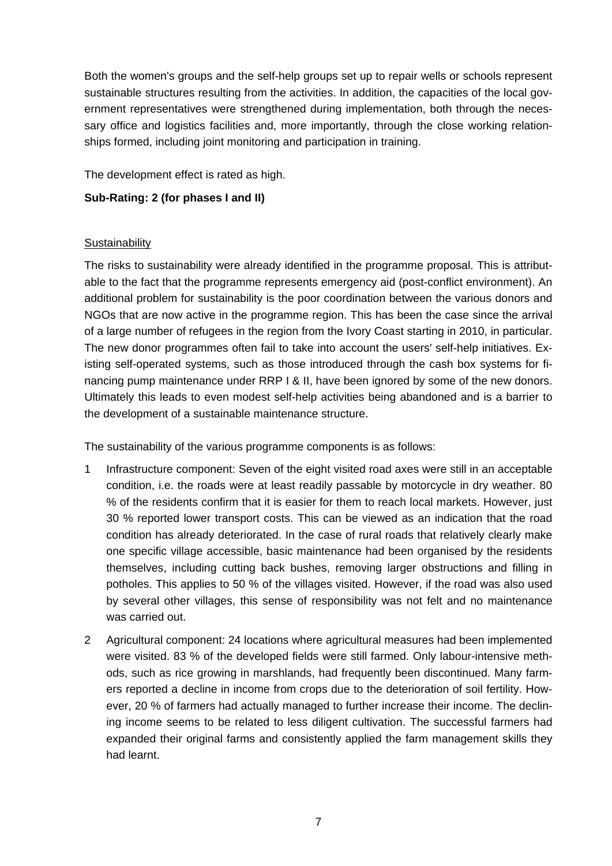Both the women's groups and the self-help groups set up to repair wells or schools represent sustainable structures resulting from the activities. In addition, the capacities of the local government representatives were strengthened during implementation, both through the necessary office and logistics facilities and, more importantly, through the close working relationships formed, including joint monitoring and participation in training.

The development effect is rated as high.

#### **Sub-Rating: 2 (for phases I and II)**

#### **Sustainability**

The risks to sustainability were already identified in the programme proposal. This is attributable to the fact that the programme represents emergency aid (post-conflict environment). An additional problem for sustainability is the poor coordination between the various donors and NGOs that are now active in the programme region. This has been the case since the arrival of a large number of refugees in the region from the Ivory Coast starting in 2010, in particular. The new donor programmes often fail to take into account the users' self-help initiatives. Existing self-operated systems, such as those introduced through the cash box systems for financing pump maintenance under RRP I & II, have been ignored by some of the new donors. Ultimately this leads to even modest self-help activities being abandoned and is a barrier to the development of a sustainable maintenance structure.

The sustainability of the various programme components is as follows:

- 1 Infrastructure component: Seven of the eight visited road axes were still in an acceptable condition, i.e. the roads were at least readily passable by motorcycle in dry weather. 80 % of the residents confirm that it is easier for them to reach local markets. However, just 30 % reported lower transport costs. This can be viewed as an indication that the road condition has already deteriorated. In the case of rural roads that relatively clearly make one specific village accessible, basic maintenance had been organised by the residents themselves, including cutting back bushes, removing larger obstructions and filling in potholes. This applies to 50 % of the villages visited. However, if the road was also used by several other villages, this sense of responsibility was not felt and no maintenance was carried out.
- 2 Agricultural component: 24 locations where agricultural measures had been implemented were visited. 83 % of the developed fields were still farmed. Only labour-intensive methods, such as rice growing in marshlands, had frequently been discontinued. Many farmers reported a decline in income from crops due to the deterioration of soil fertility. However, 20 % of farmers had actually managed to further increase their income. The declining income seems to be related to less diligent cultivation. The successful farmers had expanded their original farms and consistently applied the farm management skills they had learnt.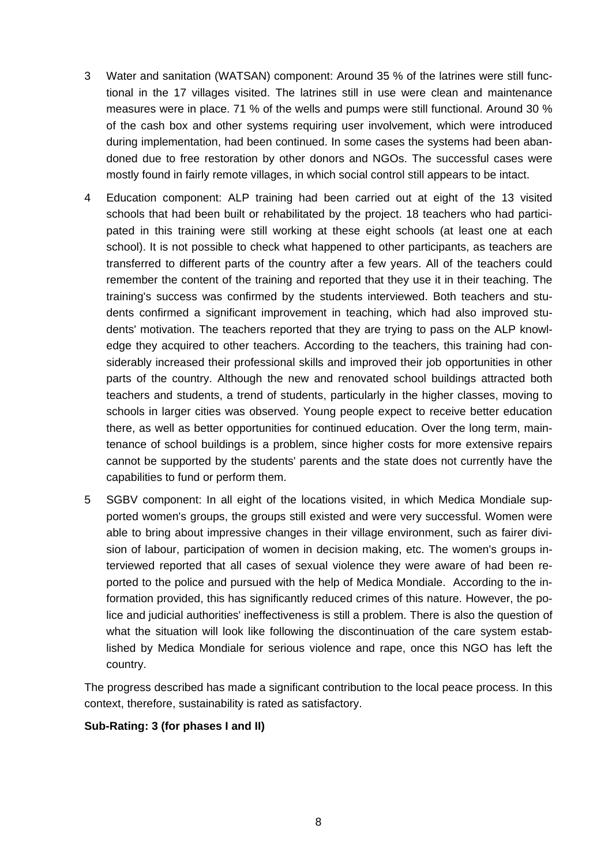- 3 Water and sanitation (WATSAN) component: Around 35 % of the latrines were still functional in the 17 villages visited. The latrines still in use were clean and maintenance measures were in place. 71 % of the wells and pumps were still functional. Around 30 % of the cash box and other systems requiring user involvement, which were introduced during implementation, had been continued. In some cases the systems had been abandoned due to free restoration by other donors and NGOs. The successful cases were mostly found in fairly remote villages, in which social control still appears to be intact.
- 4 Education component: ALP training had been carried out at eight of the 13 visited schools that had been built or rehabilitated by the project. 18 teachers who had participated in this training were still working at these eight schools (at least one at each school). It is not possible to check what happened to other participants, as teachers are transferred to different parts of the country after a few years. All of the teachers could remember the content of the training and reported that they use it in their teaching. The training's success was confirmed by the students interviewed. Both teachers and students confirmed a significant improvement in teaching, which had also improved students' motivation. The teachers reported that they are trying to pass on the ALP knowledge they acquired to other teachers. According to the teachers, this training had considerably increased their professional skills and improved their job opportunities in other parts of the country. Although the new and renovated school buildings attracted both teachers and students, a trend of students, particularly in the higher classes, moving to schools in larger cities was observed. Young people expect to receive better education there, as well as better opportunities for continued education. Over the long term, maintenance of school buildings is a problem, since higher costs for more extensive repairs cannot be supported by the students' parents and the state does not currently have the capabilities to fund or perform them.
- 5 SGBV component: In all eight of the locations visited, in which Medica Mondiale supported women's groups, the groups still existed and were very successful. Women were able to bring about impressive changes in their village environment, such as fairer division of labour, participation of women in decision making, etc. The women's groups interviewed reported that all cases of sexual violence they were aware of had been reported to the police and pursued with the help of Medica Mondiale. According to the information provided, this has significantly reduced crimes of this nature. However, the police and judicial authorities' ineffectiveness is still a problem. There is also the question of what the situation will look like following the discontinuation of the care system established by Medica Mondiale for serious violence and rape, once this NGO has left the country.

The progress described has made a significant contribution to the local peace process. In this context, therefore, sustainability is rated as satisfactory.

#### **Sub-Rating: 3 (for phases I and II)**